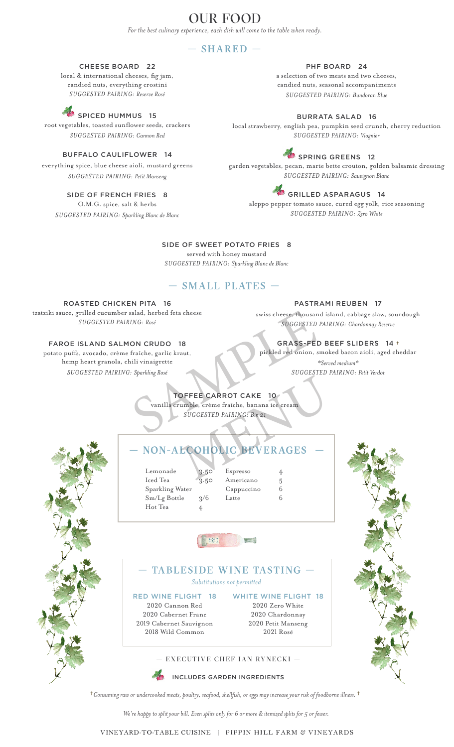# OUR FOOD

*For the best culinary experience, each dish will come to the table when ready.*

## $-$  SHARED  $-$

#### CHEESE BOARD 22

local & international cheeses, fig jam, candied nuts, everything crostini *SUGGESTED PAIRING: Reserve Rosé*

# SPICED HUMMUS 15

root vegetables, toasted sunflower seeds, crackers *SUGGESTED PAIRING: Cannon Red*

#### BUFFALO CAULIFLOWER 14

everything spice, blue cheese aioli, mustard greens *SUGGESTED PAIRING: Petit Manseng*

#### SIDE OF FRENCH FRIES 8

O.M.G. spice, salt & herbs *SUGGESTED PAIRING: Sparkling Blanc de Blanc*

## PHF BOARD 24

a selection of two meats and two cheeses, candied nuts, seasonal accompaniments *SUGGESTED PAIRING: Bundoran Blue*

#### BURRATA SALAD 16

local strawberry, english pea, pumpkin seed crunch, cherry reduction *SUGGESTED PAIRING: Viognier*

# SPRING GREENS 12

garden vegetables, pecan, marie bette crouton, golden balsamic dressing *SUGGESTED PAIRING: Sauvignon Blanc*

# GRILLED ASPARAGUS 14

aleppo pepper tomato sauce, cured egg yolk, rice seasoning *SUGGESTED PAIRING: Zero White*

#### SIDE OF SWEET POTATO FRIES 8

served with honey mustard *SUGGESTED PAIRING: Sparkling Blanc de Blanc*

## — SMALL PLATES —

ROASTED CHICKEN PITA 16

tzatziki sauce, grilled cucumber salad, herbed feta cheese *SUGGESTED PAIRING: Rosé* 

FAROE ISLAND SALMON CRUDO 18

#### PASTRAMI REUBEN 17

swiss cheese, thousand island, cabbage slaw, sourdough *SUGGESTED PAIRING: Chardonnay Reserve*

### GRASS-FED BEEF SLIDERS 14 †

pickled red onion, smoked bacon aioli, aged cheddar *\*Served medium\* SUGGESTED PAIRING: Petit Verdot*

potato puffs, avocado, crème fraîche, garlic kraut, hemp heart granola, chili vinaigrette *SUGGESTED PAIRING: Sparkling Rosé*

# TOFFEE CARROT CAKE 10 vanilla crumble, crème fraîche, banana ice cream SUGGESTED PAIRING: Rosé<br>
ING: Rosé<br>
ING: Rosé<br>
SUGGESTED PAIR<br>
ON CRUDO 18<br>
Fraîche, garlic kraut,<br>
illi vinaigrette<br>
SUGGESTED B<br>
Pickled red onion, smol<br>
FOFFEE CARROT CAKE 10<br>
Vanilla crumble, crème fraîche, banana ice SPEE CARROT CAKE 10<br>
SUGGESTED PAIRING: Bin 21<br>
SUGGESTED PAIRING: Bin 21<br>
COHOLIC BEVERAGES

# NON-ALCOHOLIC BEVERAGES

Lemonade 3.50 Espresso 4 Iced Tea 3.50 Americano 5 Sparkling Water Cappuccino 6 Hot Tea

RED WINE FLIGHT 18 2020 Cannon Red 2020 Cabernet Franc 2019 Cabernet Sauvignon 2018 Wild Common

| Lemonade        | 3.50          | Espresso   | 4 |
|-----------------|---------------|------------|---|
| Iced Tea        | 3.50          | Americano  | 5 |
| Sparkling Water |               | Cappuccino | 6 |
| Sm/Lg Bottle    | $\frac{2}{6}$ | Latte      | 6 |
| тт              |               |            |   |

WHITE WINE FLIGHT 18 2020 Zero White 2020 Chardonnay 2020 Petit Manseng 2021 Rosé





— TABLESIDE WINE TASTING — *Substitutions not permitted*

 $(153)$ 

INCLUDES GARDEN INGREDIENTS

†*Consuming raw or undercooked meats, poultry, seafood, shellfish, or eggs may increase your risk of foodborne illness.* †

*We're happy to split your bill. Even splits only for 6 or more & itemized splits for 5 or fewer.*